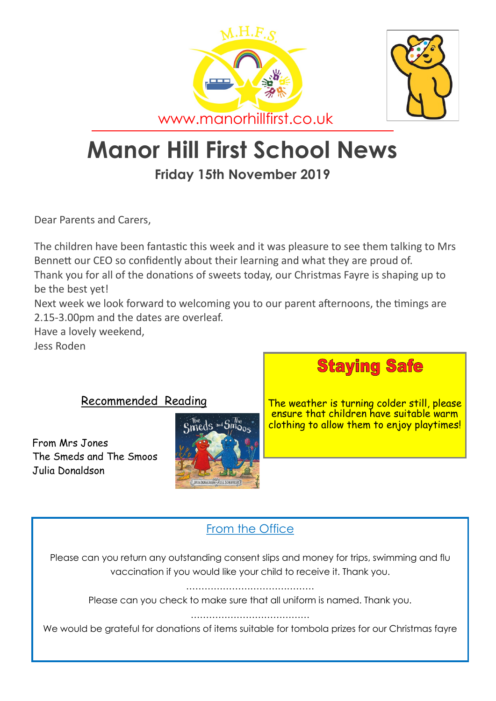



# **Manor Hill First School News**

## **Friday 15th November 2019**

Dear Parents and Carers,

The children have been fantastic this week and it was pleasure to see them talking to Mrs Bennett our CEO so confidently about their learning and what they are proud of. Thank you for all of the donations of sweets today, our Christmas Fayre is shaping up to be the best yet!

Next week we look forward to welcoming you to our parent afternoons, the timings are 2.15-3.00pm and the dates are overleaf.

Have a lovely weekend,

Jess Roden

#### Recommended Reading

From Mrs Jones The Smeds and The Smoos Julia Donaldson





The weather is turning colder still, please ensure that children have suitable warm clothing to allow them to enjoy playtimes!

### From the Office

Please can you return any outstanding consent slips and money for trips, swimming and flu vaccination if you would like your child to receive it. Thank you.

……………………………………

Please can you check to make sure that all uniform is named. Thank you.

…………………………………

We would be grateful for donations of items suitable for tombola prizes for our Christmas fayre